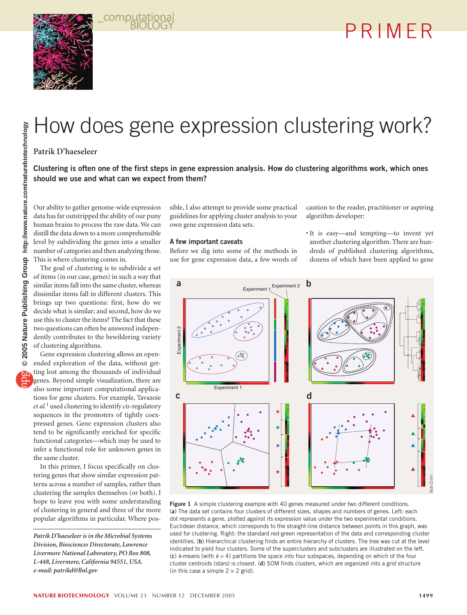



## PRIMER

# How does gene expression clustering work?

## **Patrik D'haeseleer**

**Clustering is often one of the first steps in gene expression analysis. How do clustering algorithms work, which ones should we use and what can we expect from them?**

Our ability to gather genome-wide expression data has far outstripped the ability of our puny human brains to process the raw data. We can distill the data down to a more comprehensible level by subdividing the genes into a smaller number of categories and then analyzing those. This is where clustering comes in.

The goal of clustering is to subdivide a set of items (in our case, genes) in such a way that similar items fall into the same cluster, whereas dissimilar items fall in different clusters. This brings up two questions: first, how do we decide what is similar; and second, how do we use this to cluster the items? The fact that these two questions can often be answered independently contributes to the bewildering variety of clustering algorithms.

Gene expression clustering allows an openended exploration of the data, without getting lost among the thousands of individual genes. Beyond simple visualization, there are also some important computational applications for gene clusters. For example, Tavazoie *et al.*1 used clustering to identify *cis*-regulatory sequences in the promoters of tightly coexpressed genes. Gene expression clusters also tend to be significantly enriched for specific functional categories—which may be used to infer a functional role for unknown genes in the same cluster.

In this primer, I focus specifically on clustering genes that show similar expression patterns across a number of samples, rather than clustering the samples themselves (or both). I hope to leave you with some understanding of clustering in general and three of the more popular algorithms in particular. Where pos-

sible, I also attempt to provide some practical guidelines for applying cluster analysis to your own gene expression data sets.

#### **A few important caveats**

Before we dig into some of the methods in use for gene expression data, a few words of

caution to the reader, practitioner or aspiring algorithm developer:

• It is easy—and tempting—to invent yet another clustering algorithm. There are hundreds of published clustering algorithms, dozens of which have been applied to gene





*Patrik D'haeseleer is in the Microbial Systems Division, Biosciences Directorate, Lawrence Livermore National Laboratory, PO Box 808, L-448, Livermore, California 94551, USA. e-mail: patrikd@llnl.gov*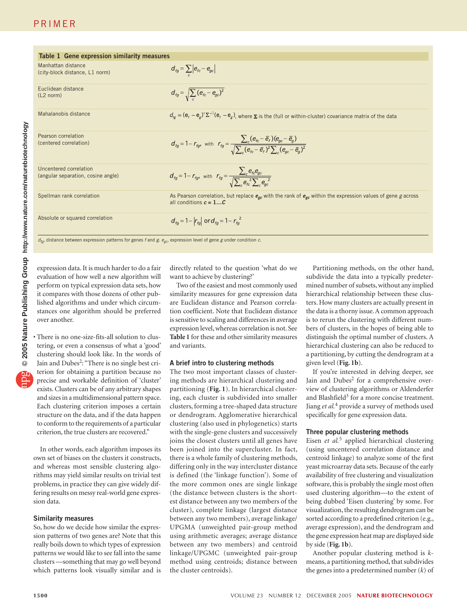**Table 1 Gene expression similarity measures** Manhattan distance Manhattan distance<br>
(city-block distance, L1 norm)  $d_{fg} = \sum_{c} \left| e_{fc} - e_{gc} \right|$ Euclidean distance<br>(1.2 norm)  $d_{fg} = \sqrt{\sum_{c} (e_{fc} - e_{gc})^2}$ Mahalanobis distance  $d_{fg} = (e_f - e_g)' \Sigma^{-1} (e_f - e_g)$ , where  $\Sigma$  is the (full or within-cluster) covariance matrix of the data Pearson correlation (centered correlation)  $\sum_{c} (e_{\scriptscriptstyle f c} \!-\! \bar{e}_{\scriptscriptstyle f})^2 \sum$ ∑  $=1-r_{fg}$ , with  $r_{fg} = \frac{\sum_{c} (e_{fc} - \overline{e}_f)(e_{gc} - \overline{e}_g)}{\sqrt{\sum_{c} (e_{fc} - \overline{e}_f)^2 \sum_{c} (e_{ac} - \overline{e}_g)^2}}$ Uncentered correlation (angular separation, cosine angle)  $\sum_c\!e_{\scriptscriptstyle f c}^{\;\; 2}\! \sum$  $=1-r_{fo}$ , with  $r_{fo}=\frac{\sum_{\blacksquare}$ Spellman rank correlation **As Pearson correlation**, but replace  $e_{gc}$  with the rank of  $e_{gc}$  within the expression values of gene *g* across all conditions *c* **= 1…***C* Absolute or squared correlation  $d_{f_0} = 1 - |r_{f_0}|$  or  $d_{f_0} = 1 - r_{f_0}$ *dfg*, distance between expression patterns for genes *f* and *g*. *egc*, expression level of gene *g* under condition *c*.

expression data. It is much harder to do a fair evaluation of how well a new algorithm will perform on typical expression data sets, how it compares with those dozens of other published algorithms and under which circumstances one algorithm should be preferred over another.

• There is no one-size-fits-all solution to clustering, or even a consensus of what a 'good' clustering should look like. In the words of Jain and Dubes<sup>2</sup>: "There is no single best criterion for obtaining a partition because no precise and workable definition of 'cluster' exists. Clusters can be of any arbitrary shapes and sizes in a multidimensional pattern space. Each clustering criterion imposes a certain structure on the data, and if the data happen to conform to the requirements of a particular criterion, the true clusters are recovered."

In other words, each algorithm imposes its own set of biases on the clusters it constructs, and whereas most sensible clustering algorithms may yield similar results on trivial test problems, in practice they can give widely differing results on messy real-world gene expression data.

#### **Similarity measures**

So, how do we decide how similar the expression patterns of two genes are? Note that this really boils down to which types of expression patterns we would like to see fall into the same clusters —something that may go well beyond which patterns look visually similar and is

directly related to the question 'what do we want to achieve by clustering?'

Two of the easiest and most commonly used similarity measures for gene expression data are Euclidean distance and Pearson correlation coefficient. Note that Euclidean distance is sensitive to scaling and differences in average expression level, whereas correlation is not. See **Table 1** for these and other similarity measures and variants.

## **A brief intro to clustering methods**

The two most important classes of clustering methods are hierarchical clustering and partitioning (**Fig. 1**). In hierarchical clustering, each cluster is subdivided into smaller clusters, forming a tree-shaped data structure or dendrogram. Agglomerative hierarchical clustering (also used in phylogenetics) starts with the single-gene clusters and successively joins the closest clusters until all genes have been joined into the supercluster. In fact, there is a whole family of clustering methods, differing only in the way intercluster distance is defined (the 'linkage function'). Some of the more common ones are single linkage (the distance between clusters is the shortest distance between any two members of the cluster), complete linkage (largest distance between any two members), average linkage/ UPGMA (unweighted pair-group method using arithmetic averages; average distance between any two members) and centroid linkage/UPGMC (unweighted pair-group method using centroids; distance between the cluster centroids).

Partitioning methods, on the other hand, subdivide the data into a typically predetermined number of subsets, without any implied hierarchical relationship between these clusters. How many clusters are actually present in the data is a thorny issue. A common approach is to rerun the clustering with different numbers of clusters, in the hopes of being able to distinguish the optimal number of clusters. A hierarchical clustering can also be reduced to a partitioning, by cutting the dendrogram at a given level (**Fig. 1b**).

If you're interested in delving deeper, see Jain and Dubes<sup>2</sup> for a comprehensive overview of clustering algorithms or Aldenderfer and Blashfield<sup>3</sup> for a more concise treatment. Jiang *et al.*4 provide a survey of methods used specifically for gene expression data.

#### **Three popular clustering methods**

Eisen *et al.*5 applied hierarchical clustering (using uncentered correlation distance and centroid linkage) to analyze some of the first yeast microarray data sets. Because of the early availability of free clustering and visualization software, this is probably the single most often used clustering algorithm—to the extent of being dubbed 'Eisen clustering' by some. For visualization, the resulting dendrogram can be sorted according to a predefined criterion (e.g., average expression), and the dendrogram and the gene expression heat map are displayed side by side (**Fig. 1b**).

Another popular clustering method is *k*means, a partitioning method, that subdivides the genes into a predetermined number (*k*) of